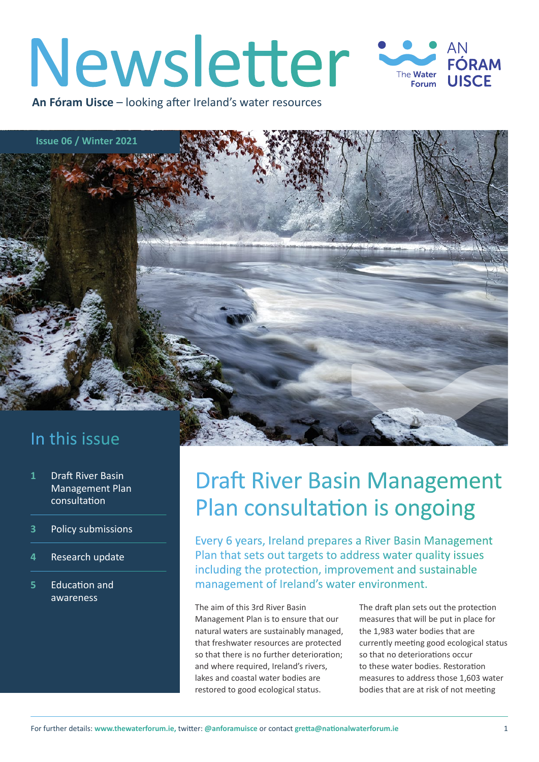### Newsletter AN FÓRAM The **Water UISCE** Forum

**An Fóram Uisce** – looking after Ireland's water resources

**Issue 06 / Winter 2021**

### In this issue

- **1** Draft River Basin Management Plan consultation
- **3** [Policy submissions](#page-2-0)
- **4** [Research update](#page-3-0)
- **5** [Education and](#page-4-0)  [awareness](#page-4-0)

# Draft River Basin Management Plan consultation is ongoing

Every 6 years, Ireland prepares a River Basin Management Plan that sets out targets to address water quality issues including the protection, improvement and sustainable management of Ireland's water environment.

The aim of this 3rd River Basin Management Plan is to ensure that our natural waters are sustainably managed, that freshwater resources are protected so that there is no further deterioration; and where required, Ireland's rivers, lakes and coastal water bodies are restored to good ecological status.

The draft plan sets out the protection measures that will be put in place for the 1,983 water bodies that are currently meeting good ecological status so that no deteriorations occur to these water bodies. Restoration measures to address those 1,603 water bodies that are at risk of not meeting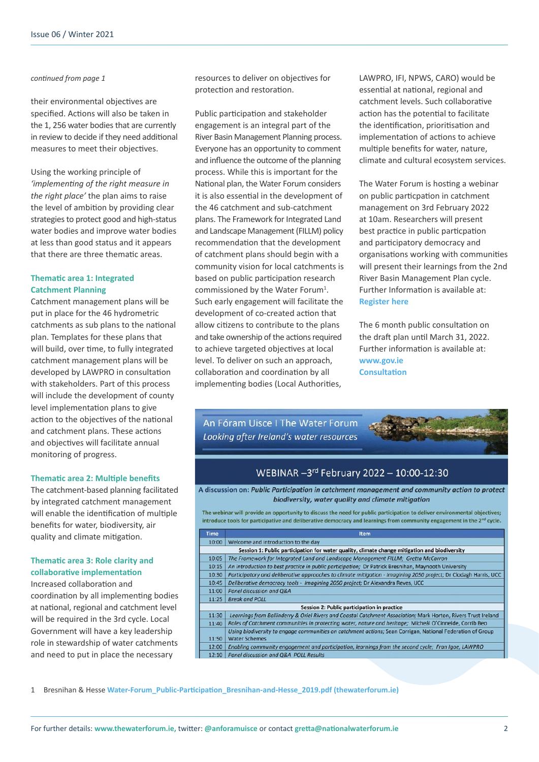#### *continued from page 1*

their environmental objectives are specified. Actions will also be taken in the 1, 256 water bodies that are currently in review to decide if they need additional measures to meet their objectives.

Using the working principle of *'implementing of the right measure in the right place'* the plan aims to raise the level of ambition by providing clear strategies to protect good and high-status water bodies and improve water bodies at less than good status and it appears that there are three thematic areas.

#### **Thematic area 1: Integrated Catchment Planning**

Catchment management plans will be put in place for the 46 hydrometric catchments as sub plans to the national plan. Templates for these plans that will build, over time, to fully integrated catchment management plans will be developed by LAWPRO in consultation with stakeholders. Part of this process will include the development of county level implementation plans to give action to the objectives of the national and catchment plans. These actions and objectives will facilitate annual monitoring of progress.

#### **Thematic area 2: Multiple benefits**

The catchment-based planning facilitated by integrated catchment management will enable the identification of multiple benefits for water, biodiversity, air quality and climate mitigation.

### **Thematic area 3: Role clarity and collaborative implementation**

Increased collaboration and coordination by all implementing bodies at national, regional and catchment level will be required in the 3rd cycle. Local Government will have a key leadership role in stewardship of water catchments and need to put in place the necessary

resources to deliver on objectives for protection and restoration.

Public participation and stakeholder engagement is an integral part of the River Basin Management Planning process. Everyone has an opportunity to comment and influence the outcome of the planning process. While this is important for the National plan, the Water Forum considers it is also essential in the development of the 46 catchment and sub-catchment plans. The Framework for Integrated Land and Landscape Management (FILLM) policy recommendation that the development of catchment plans should begin with a community vision for local catchments is based on public participation research commissioned by the Water Forum<sup>1</sup>. Such early engagement will facilitate the development of co-created action that allow citizens to contribute to the plans and take ownership of the actions required to achieve targeted objectives at local level. To deliver on such an approach, collaboration and coordination by all implementing bodies (Local Authorities,

LAWPRO, IFI, NPWS, CARO) would be essential at national, regional and catchment levels. Such collaborative action has the potential to facilitate the identification, prioritisation and implementation of actions to achieve multiple benefits for water, nature, climate and cultural ecosystem services.

The Water Forum is hosting a webinar on public particpation in catchment management on 3rd February 2022 at 10am. Researchers will present best practice in public particpation and participatory democracy and organisations working with communities will present their learnings from the 2nd River Basin Management Plan cycle. Further Information is available at: **[Register here](https://crowdcomms-ltd.reg.crowdcomms.com/water-forum-river-basin-management-plan-webinar)**

The 6 month public consultation on the draft plan until March 31, 2022. Further information is available at: **[www.gov.ie](http://www.gov.ie) [Consultation](https://www.gov.ie/en/consultation/2bda0-public-consultation-on-the-draft-river-basin-management-plan-for-ireland-2022-2027/)** 

An Fóram Uisce I The Water Forum Looking after Ireland's water resources



### WEBINAR - 3rd February 2022 - 10:00-12:30

A discussion on: Public Participation in catchment management and community action to protect biodiversity, water quality and climate mitigation

The webinar will provide an opportunity to discuss the need for public participation to deliver environmental objectives; introduce tools for participative and deliberative democracy and learnings from community engagement in the 2<sup>nd</sup> cycle.

| <b>Time</b>                                                                                   | <b>Item</b>                                                                                                      |
|-----------------------------------------------------------------------------------------------|------------------------------------------------------------------------------------------------------------------|
| 10:00                                                                                         | Welcome and introduction to the day                                                                              |
| Session 1: Public participation for water quality, climate change mitigation and biodiversity |                                                                                                                  |
| 10:05                                                                                         | The Framework for Integrated Land and Landscape Management FILLM; Gretta McCarron                                |
| 10:15                                                                                         | An introduction to best practice in public participation; Dr Patrick Bresnihan, Maynooth University              |
| 10:30                                                                                         | Participatory and deliberative approaches to climate mitigation - Imagining 2050 project; Dr Clodagh Harris, UCC |
| 10:45                                                                                         | Deliberative democracy tools - Imagining 2050 project; Dr Alexandra Reves, UCC                                   |
| 11:00                                                                                         | Panel discussion and Q&A                                                                                         |
| 11:25                                                                                         | <b>Break and POLL</b>                                                                                            |
| Session 2: Public participation in practice                                                   |                                                                                                                  |
| 11:30                                                                                         | Learnings from Ballinderry & Oriel Rivers and Coastal Catchment Association; Mark Horton, Rivers Trust Ireland   |
| 11:40                                                                                         | Roles of Catchment communities in protecting water, nature and heritage; Micheál O'Cinneide, Corrib Beo          |
|                                                                                               | Using biodiversity to engage communities on catchment actions; Sean Corrigan, National Federation of Group       |
| 11:50                                                                                         | <b>Water Schemes</b>                                                                                             |
| 12:00                                                                                         | Enabling community engagement and participation, learnings from the second cycle; Fran Igoe, LAWPRO              |
| 12:10                                                                                         | Panel discussion and Q&A POLL Results                                                                            |

1 Bresnihan & Hesse **[Water-Forum\\_Public-Participation\\_Bresnihan-and-Hesse\\_2019.pdf \(thewaterforum.ie\)](https://thewaterforum.ie/app/uploads/2020/03/Water-Forum_Public-Participation_Bresnihan-and-Hesse_2019.pdf)**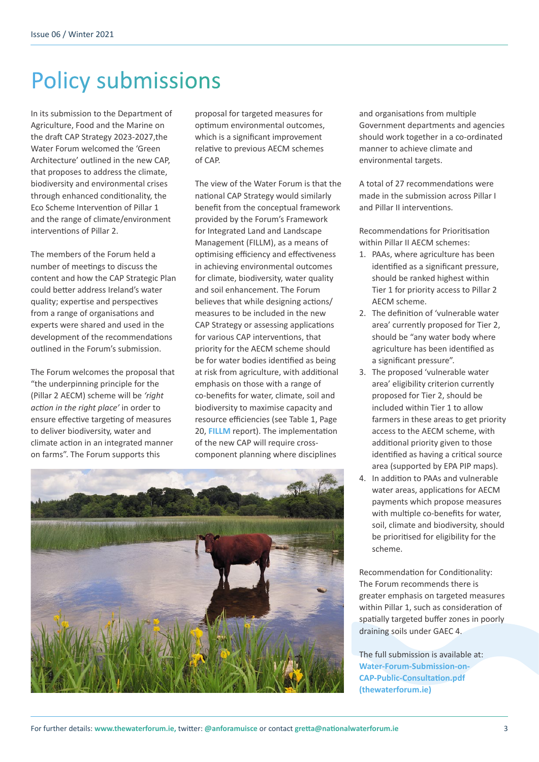# <span id="page-2-0"></span>Policy submissions

In its submission to the Department of Agriculture, Food and the Marine on the draft CAP Strategy 2023-2027,the Water Forum welcomed the 'Green Architecture' outlined in the new CAP, that proposes to address the climate, biodiversity and environmental crises through enhanced conditionality, the Eco Scheme Intervention of Pillar 1 and the range of climate/environment interventions of Pillar 2.

The members of the Forum held a number of meetings to discuss the content and how the CAP Strategic Plan could better address Ireland's water quality; expertise and perspectives from a range of organisations and experts were shared and used in the development of the recommendations outlined in the Forum's submission.

The Forum welcomes the proposal that "the underpinning principle for the (Pillar 2 AECM) scheme will be *'right action in the right place'* in order to ensure effective targeting of measures to deliver biodiversity, water and climate action in an integrated manner on farms". The Forum supports this

proposal for targeted measures for optimum environmental outcomes, which is a significant improvement relative to previous AECM schemes of CAP.

The view of the Water Forum is that the national CAP Strategy would similarly benefit from the conceptual framework provided by the Forum's Framework for Integrated Land and Landscape Management (FILLM), as a means of optimising efficiency and effectiveness in achieving environmental outcomes for climate, biodiversity, water quality and soil enhancement. The Forum believes that while designing actions/ measures to be included in the new CAP Strategy or assessing applications for various CAP interventions, that priority for the AECM scheme should be for water bodies identified as being at risk from agriculture, with additional emphasis on those with a range of co-benefits for water, climate, soil and biodiversity to maximise capacity and resource efficiencies (see Table 1, Page 20, **[FILLM](https://www.thewaterforum.ie/app/uploads/2021/03/TWF-FILLM-Report-Feb21-v9WEB.pdf)** report). The implementation of the new CAP will require crosscomponent planning where disciplines



and organisations from multiple Government departments and agencies should work together in a co-ordinated manner to achieve climate and environmental targets.

A total of 27 recommendations were made in the submission across Pillar I and Pillar II interventions.

Recommendations for Prioritisation within Pillar II AECM schemes:

- 1. PAAs, where agriculture has been identified as a significant pressure, should be ranked highest within Tier 1 for priority access to Pillar 2 AECM scheme.
- 2. The definition of 'vulnerable water area' currently proposed for Tier 2, should be "any water body where agriculture has been identified as a significant pressure".
- 3. The proposed 'vulnerable water area' eligibility criterion currently proposed for Tier 2, should be included within Tier 1 to allow farmers in these areas to get priority access to the AECM scheme, with additional priority given to those identified as having a critical source area (supported by EPA PIP maps).
- 4. In addition to PAAs and vulnerable water areas, applications for AECM payments which propose measures with multiple co-benefits for water, soil, climate and biodiversity, should be prioritised for eligibility for the scheme.

Recommendation for Conditionality: The Forum recommends there is greater emphasis on targeted measures within Pillar 1, such as consideration of spatially targeted buffer zones in poorly draining soils under GAEC 4.

The full submission is available at: **[Water-Forum-Submission-on-](https://thewaterforum.ie/app/uploads/2021/12/Water-Forum-Submission-on-CAP-Public-Consultation.pdf)[CAP-Public-Consultation.pdf](https://thewaterforum.ie/app/uploads/2021/12/Water-Forum-Submission-on-CAP-Public-Consultation.pdf)  [\(thewaterforum.ie\)](https://thewaterforum.ie/app/uploads/2021/12/Water-Forum-Submission-on-CAP-Public-Consultation.pdf)**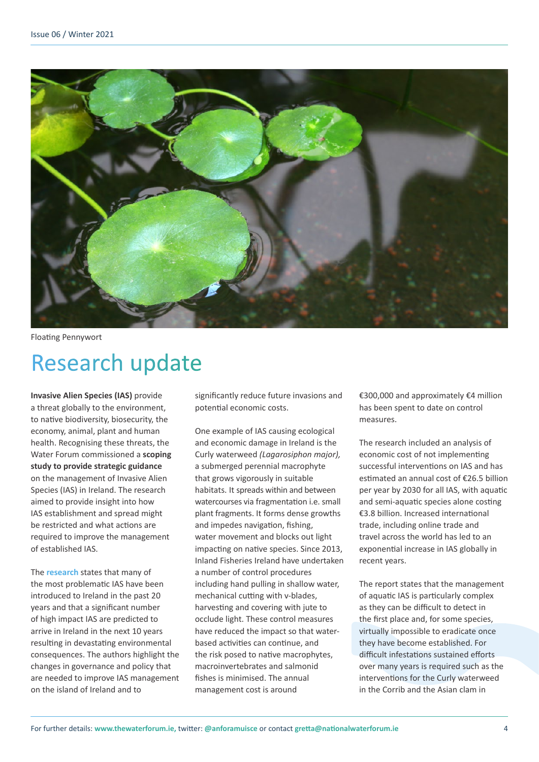<span id="page-3-0"></span>

Floating Pennywort

# Research update

**Invasive Alien Species (IAS)** provide a threat globally to the environment, to native biodiversity, biosecurity, the economy, animal, plant and human health. Recognising these threats, the Water Forum commissioned a **scoping study to provide strategic guidance** on the management of Invasive Alien Species (IAS) in Ireland. The research aimed to provide insight into how IAS establishment and spread might be restricted and what actions are required to improve the management of established IAS.

The **[resear](https://www.thewaterforum.ie/report-on-the-management-of-invasive-alien-species-in-ireland-with-key-policy-recommendations/)ch** states that many of the most problematic IAS have been introduced to Ireland in the past 20 years and that a significant number of high impact IAS are predicted to arrive in Ireland in the next 10 years resulting in devastating environmental consequences. The authors highlight the changes in governance and policy that are needed to improve IAS management on the island of Ireland and to

significantly reduce future invasions and potential economic costs.

One example of IAS causing ecological and economic damage in Ireland is the Curly waterweed *(Lagarosiphon major),*  a submerged perennial macrophyte that grows vigorously in suitable habitats. It spreads within and between watercourses via fragmentation i.e. small plant fragments. It forms dense growths and impedes navigation, fishing, water movement and blocks out light impacting on native species. Since 2013, Inland Fisheries Ireland have undertaken a number of control procedures including hand pulling in shallow water, mechanical cutting with v-blades, harvesting and covering with jute to occlude light. These control measures have reduced the impact so that waterbased activities can continue, and the risk posed to native macrophytes, macroinvertebrates and salmonid fishes is minimised. The annual management cost is around

€300,000 and approximately €4 million has been spent to date on control measures.

The research included an analysis of economic cost of not implementing successful interventions on IAS and has estimated an annual cost of €26.5 billion per year by 2030 for all IAS, with aquatic and semi-aquatic species alone costing €3.8 billion. Increased international trade, including online trade and travel across the world has led to an exponential increase in IAS globally in recent years.

The report states that the management of aquatic IAS is particularly complex as they can be difficult to detect in the first place and, for some species, virtually impossible to eradicate once they have become established. For difficult infestations sustained efforts over many years is required such as the interventions for the Curly waterweed in the Corrib and the Asian clam in